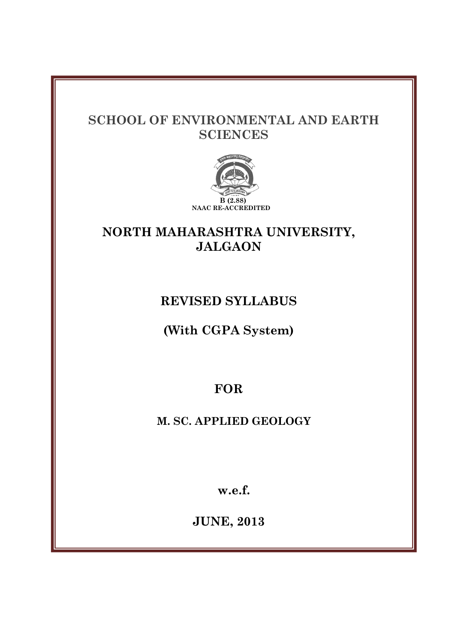# **SCHOOL OF ENVIRONMENTAL AND EARTH SCIENCES**



# **NORTH MAHARASHTRA UNIVERSITY, JALGAON**

# **REVISED SYLLABUS**

**(With CGPA System)** 

**FOR** 

**M. SC. APPLIED GEOLOGY** 

**w.e.f.** 

**JUNE, 2013**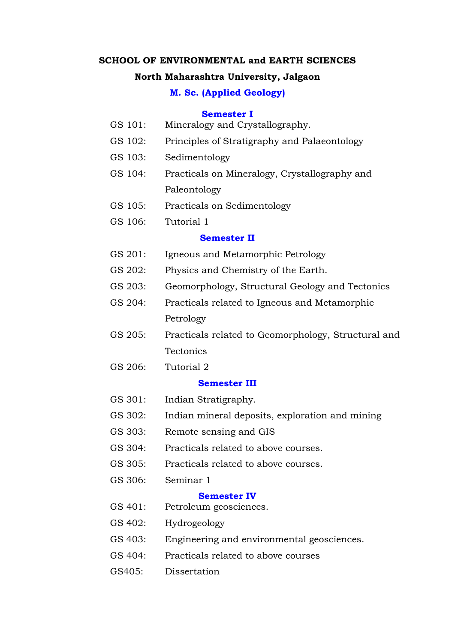#### **SCHOOL OF ENVIRONMENTAL and EARTH SCIENCES**

#### **North Maharashtra University, Jalgaon**

#### **M. Sc. (Applied Geology)**

#### **Semester I**

- GS 101: Mineralogy and Crystallography.
- GS 102: Principles of Stratigraphy and Palaeontology
- GS 103: Sedimentology
- GS 104: Practicals on Mineralogy, Crystallography and Paleontology
- GS 105: Practicals on Sedimentology
- GS 106: Tutorial 1

#### **Semester II**

- GS 201: Igneous and Metamorphic Petrology
- GS 202: Physics and Chemistry of the Earth.
- GS 203: Geomorphology, Structural Geology and Tectonics
- GS 204: Practicals related to Igneous and Metamorphic Petrology
- GS 205: Practicals related to Geomorphology, Structural and **Tectonics**
- GS 206: Tutorial 2

#### **Semester III**

- GS 301: Indian Stratigraphy.
- GS 302: Indian mineral deposits, exploration and mining
- GS 303: Remote sensing and GIS
- GS 304: Practicals related to above courses.
- GS 305: Practicals related to above courses.
- GS 306: Seminar 1

#### **Semester IV**

- GS 401: Petroleum geosciences.
- GS 402: Hydrogeology
- GS 403: Engineering and environmental geosciences.
- GS 404: Practicals related to above courses
- GS405: Dissertation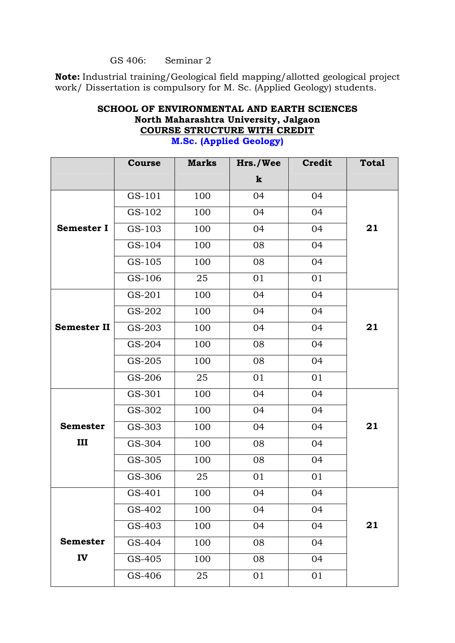#### GS 406: Seminar 2

**Note:** Industrial training/Geological field mapping/allotted geological project work/ Dissertation is compulsory for M. Sc. (Applied Geology) students.

# **SCHOOL OF ENVIRONMENTAL AND EARTH SCIENCES North Maharashtra University, Jalgaon COURSE STRUCTURE WITH CREDIT**

|                    | <b>Course</b> | <b>Marks</b> | Hrs./Wee    | <b>Credit</b> | <b>Total</b> |
|--------------------|---------------|--------------|-------------|---------------|--------------|
|                    |               |              | $\mathbf k$ |               |              |
|                    | GS-101        | 100          | 04          | 04            |              |
|                    | GS-102        | 100          | 04          | 04            |              |
| <b>Semester I</b>  | GS-103        | 100          | 04          | 04            | 21           |
|                    | GS-104        | 100          | 08          | 04            |              |
|                    | GS-105        | 100          | 08          | 04            |              |
|                    | GS-106        | 25           | 01          | 01            |              |
|                    | GS-201        | 100          | 04          | 04            |              |
|                    | GS-202        | 100          | 04          | 04            |              |
| <b>Semester II</b> | GS-203        | 100          | 04          | 04            | 21           |
|                    | GS-204        | 100          | 08          | 04            |              |
|                    | GS-205        | 100          | 08          | 04            |              |
|                    | GS-206        | 25           | 01          | 01            |              |
|                    | GS-301        | 100          | 04          | 04            |              |
|                    | GS-302        | 100          | 04          | 04            |              |
| <b>Semester</b>    | GS-303        | 100          | 04          | 04            | 21           |
| III                | GS-304        | 100          | 08          | 04            |              |
|                    | GS-305        | 100          | 08          | 04            |              |
|                    | GS-306        | 25           | 01          | 01            |              |
|                    | GS-401        | 100          | 04          | 04            |              |
|                    | GS-402        | 100          | 04          | 04            |              |
|                    | GS-403        | 100          | 04          | 04            | 21           |
| <b>Semester</b>    | GS-404        | 100          | 08          | 04            |              |
| IV                 | GS-405        | 100          | 08          | 04            |              |
|                    | GS-406        | 25           | 01          | 01            |              |

### **M.Sc. (Applied Geology)**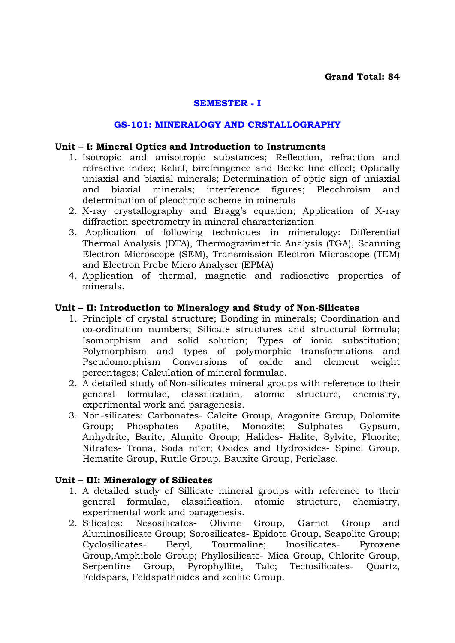### **SEMESTER - I**

#### **GS-101: MINERALOGY AND CRSTALLOGRAPHY**

#### **Unit – I: Mineral Optics and Introduction to Instruments**

- 1. Isotropic and anisotropic substances; Reflection, refraction and refractive index; Relief, birefringence and Becke line effect; Optically uniaxial and biaxial minerals; Determination of optic sign of uniaxial and biaxial minerals; interference figures; Pleochroism and determination of pleochroic scheme in minerals
- 2. X-ray crystallography and Bragg's equation; Application of X-ray diffraction spectrometry in mineral characterization
- 3. Application of following techniques in mineralogy: Differential Thermal Analysis (DTA), Thermogravimetric Analysis (TGA), Scanning Electron Microscope (SEM), Transmission Electron Microscope (TEM) and Electron Probe Micro Analyser (EPMA)
- 4. Application of thermal, magnetic and radioactive properties of minerals.

#### **Unit – II: Introduction to Mineralogy and Study of Non-Silicates**

- 1. Principle of crystal structure; Bonding in minerals; Coordination and co-ordination numbers; Silicate structures and structural formula; Isomorphism and solid solution; Types of ionic substitution; Polymorphism and types of polymorphic transformations and Pseudomorphism Conversions of oxide and element weight percentages; Calculation of mineral formulae.
- 2. A detailed study of Non-silicates mineral groups with reference to their general formulae, classification, atomic structure, chemistry, experimental work and paragenesis.
- 3. Non-silicates: Carbonates- Calcite Group, Aragonite Group, Dolomite Group; Phosphates- Apatite, Monazite; Sulphates- Gypsum, Anhydrite, Barite, Alunite Group; Halides- Halite, Sylvite, Fluorite; Nitrates- Trona, Soda niter; Oxides and Hydroxides- Spinel Group, Hematite Group, Rutile Group, Bauxite Group, Periclase.

### **Unit – III: Mineralogy of Silicates**

- 1. A detailed study of Sillicate mineral groups with reference to their general formulae, classification, atomic structure, chemistry, experimental work and paragenesis.
- 2. Silicates: Nesosilicates- Olivine Group, Garnet Group and Aluminosilicate Group; Sorosilicates- Epidote Group, Scapolite Group; Cyclosilicates- Beryl, Tourmaline; Inosilicates- Pyroxene Group,Amphibole Group; Phyllosilicate- Mica Group, Chlorite Group, Serpentine Group, Pyrophyllite, Talc; Tectosilicates- Quartz, Feldspars, Feldspathoides and zeolite Group.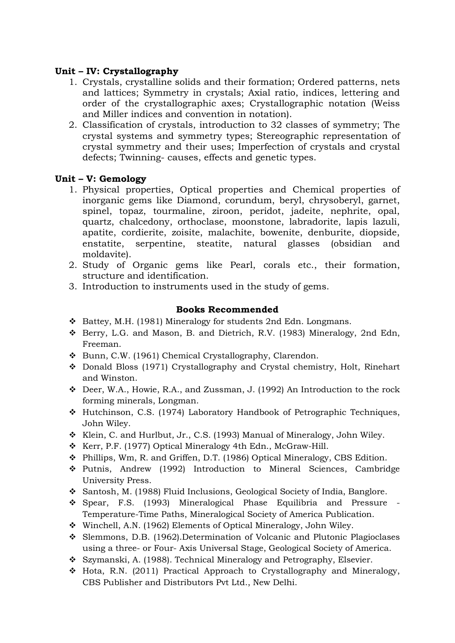### **Unit – IV: Crystallography**

- 1. Crystals, crystalline solids and their formation; Ordered patterns, nets and lattices; Symmetry in crystals; Axial ratio, indices, lettering and order of the crystallographic axes; Crystallographic notation (Weiss and Miller indices and convention in notation).
- 2. Classification of crystals, introduction to 32 classes of symmetry; The crystal systems and symmetry types; Stereographic representation of crystal symmetry and their uses; Imperfection of crystals and crystal defects; Twinning- causes, effects and genetic types.

### **Unit – V: Gemology**

- 1. Physical properties, Optical properties and Chemical properties of inorganic gems like Diamond, corundum, beryl, chrysoberyl, garnet, spinel, topaz, tourmaline, ziroon, peridot, jadeite, nephrite, opal, quartz, chalcedony, orthoclase, moonstone, labradorite, lapis lazuli, apatite, cordierite, zoisite, malachite, bowenite, denburite, diopside, enstatite, serpentine, steatite, natural glasses (obsidian and moldavite).
- 2. Study of Organic gems like Pearl, corals etc., their formation, structure and identification.
- 3. Introduction to instruments used in the study of gems.

### **Books Recommended**

- Battey, M.H. (1981) Mineralogy for students 2nd Edn. Longmans.
- Berry, L.G. and Mason, B. and Dietrich, R.V. (1983) Mineralogy, 2nd Edn, Freeman.
- Bunn, C.W. (1961) Chemical Crystallography, Clarendon.
- Donald Bloss (1971) Crystallography and Crystal chemistry, Holt, Rinehart and Winston.
- Deer, W.A., Howie, R.A., and Zussman, J. (1992) An Introduction to the rock forming minerals, Longman.
- Hutchinson, C.S. (1974) Laboratory Handbook of Petrographic Techniques, John Wiley.
- Klein, C. and Hurlbut, Jr., C.S. (1993) Manual of Mineralogy, John Wiley.
- \* Kerr, P.F. (1977) Optical Mineralogy 4th Edn., McGraw-Hill.
- Phillips, Wm, R. and Griffen, D.T. (1986) Optical Mineralogy, CBS Edition.
- Putnis, Andrew (1992) Introduction to Mineral Sciences, Cambridge University Press.
- Santosh, M. (1988) Fluid Inclusions, Geological Society of India, Banglore.
- Spear, F.S. (1993) Mineralogical Phase Equilibria and Pressure Temperature-Time Paths, Mineralogical Society of America Publication.
- Winchell, A.N. (1962) Elements of Optical Mineralogy, John Wiley.
- Slemmons, D.B. (1962).Determination of Volcanic and Plutonic Plagioclases using a three- or Four- Axis Universal Stage, Geological Society of America.
- Szymanski, A. (1988). Technical Mineralogy and Petrography, Elsevier.
- $\div$  Hota, R.N. (2011) Practical Approach to Crystallography and Mineralogy, CBS Publisher and Distributors Pvt Ltd., New Delhi.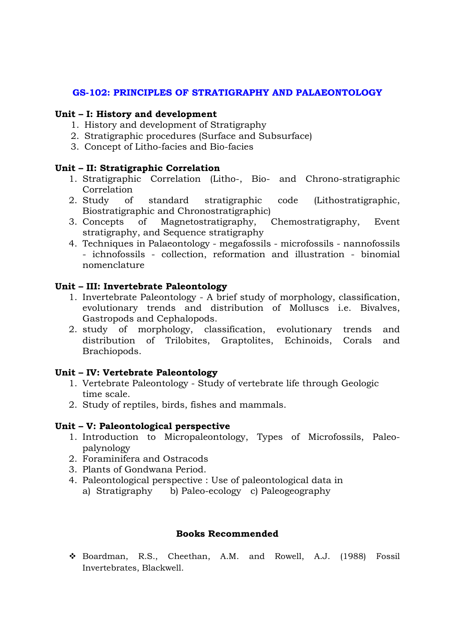### **GS-102: PRINCIPLES OF STRATIGRAPHY AND PALAEONTOLOGY**

#### **Unit – I: History and development**

- 1. History and development of Stratigraphy
- 2. Stratigraphic procedures (Surface and Subsurface)
- 3. Concept of Litho-facies and Bio-facies

### **Unit – II: Stratigraphic Correlation**

- 1. Stratigraphic Correlation (Litho-, Bio- and Chrono-stratigraphic Correlation
- 2. Study of standard stratigraphic code (Lithostratigraphic, Biostratigraphic and Chronostratigraphic)
- 3. Concepts of Magnetostratigraphy, Chemostratigraphy, Event stratigraphy, and Sequence stratigraphy
- 4. Techniques in Palaeontology megafossils microfossils nannofossils - ichnofossils - collection, reformation and illustration - binomial nomenclature

### **Unit – III: Invertebrate Paleontology**

- 1. Invertebrate Paleontology A brief study of morphology, classification, evolutionary trends and distribution of Molluscs i.e. Bivalves, Gastropods and Cephalopods.
- 2. study of morphology, classification, evolutionary trends and distribution of Trilobites, Graptolites, Echinoids, Corals and Brachiopods.

### **Unit – IV: Vertebrate Paleontology**

- 1. Vertebrate Paleontology Study of vertebrate life through Geologic time scale.
- 2. Study of reptiles, birds, fishes and mammals.

### **Unit – V: Paleontological perspective**

- 1. Introduction to Micropaleontology, Types of Microfossils, Paleopalynology
- 2. Foraminifera and Ostracods
- 3. Plants of Gondwana Period.
- 4. Paleontological perspective : Use of paleontological data in a) Stratigraphy b) Paleo-ecology c) Paleogeography

### **Books Recommended**

 Boardman, R.S., Cheethan, A.M. and Rowell, A.J. (1988) Fossil Invertebrates, Blackwell.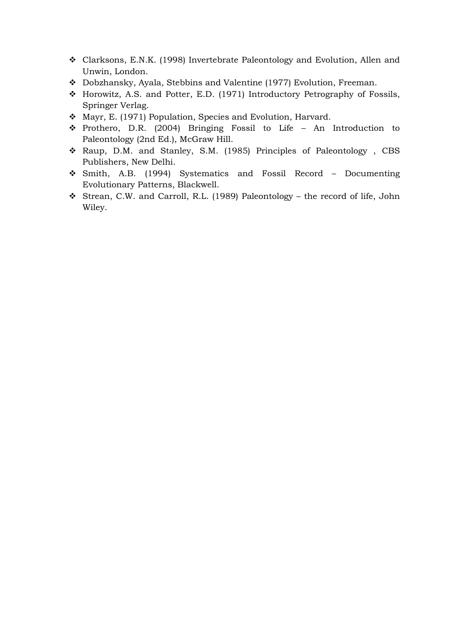- Clarksons, E.N.K. (1998) Invertebrate Paleontology and Evolution, Allen and Unwin, London.
- Dobzhansky, Ayala, Stebbins and Valentine (1977) Evolution, Freeman.
- Horowitz, A.S. and Potter, E.D. (1971) Introductory Petrography of Fossils, Springer Verlag.
- Mayr, E. (1971) Population, Species and Evolution, Harvard.
- Prothero, D.R. (2004) Bringing Fossil to Life An Introduction to Paleontology (2nd Ed.), McGraw Hill.
- \* Raup, D.M. and Stanley, S.M. (1985) Principles of Paleontology, CBS Publishers, New Delhi.
- Smith, A.B. (1994) Systematics and Fossil Record Documenting Evolutionary Patterns, Blackwell.
- Strean, C.W. and Carroll, R.L. (1989) Paleontology the record of life, John Wiley.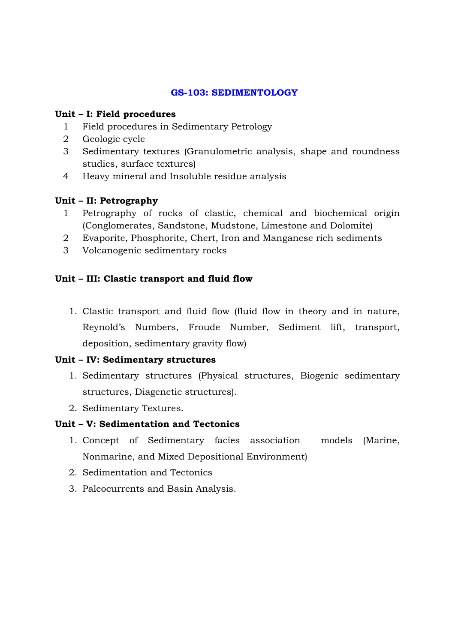### **GS-103: SEDIMENTOLOGY**

### **Unit – I: Field procedures**

- 1 Field procedures in Sedimentary Petrology
- 2 Geologic cycle
- 3 Sedimentary textures (Granulometric analysis, shape and roundness studies, surface textures)
- 4 Heavy mineral and Insoluble residue analysis

# **Unit – II: Petrography**

- 1 Petrography of rocks of clastic, chemical and biochemical origin (Conglomerates, Sandstone, Mudstone, Limestone and Dolomite)
- 2 Evaporite, Phosphorite, Chert, Iron and Manganese rich sediments
- 3 Volcanogenic sedimentary rocks

# **Unit – III: Clastic transport and fluid flow**

1. Clastic transport and fluid flow (fluid flow in theory and in nature, Reynold's Numbers, Froude Number, Sediment lift, transport, deposition, sedimentary gravity flow)

### **Unit – IV: Sedimentary structures**

- 1. Sedimentary structures (Physical structures, Biogenic sedimentary structures, Diagenetic structures).
- 2. Sedimentary Textures.

### **Unit – V: Sedimentation and Tectonics**

- 1. Concept of Sedimentary facies association models (Marine, Nonmarine, and Mixed Depositional Environment)
- 2. Sedimentation and Tectonics
- 3. Paleocurrents and Basin Analysis.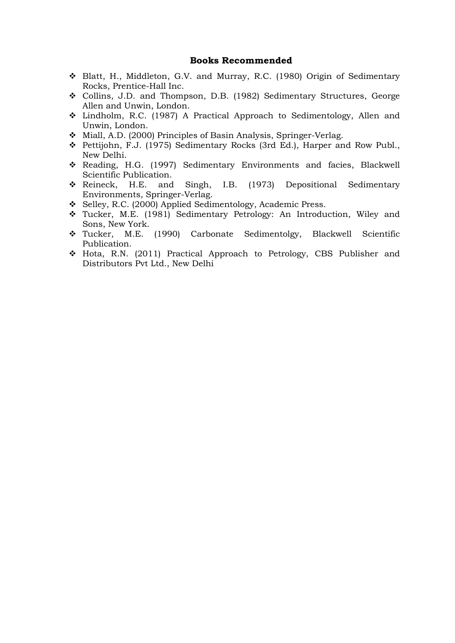#### **Books Recommended**

- Blatt, H., Middleton, G.V. and Murray, R.C. (1980) Origin of Sedimentary Rocks, Prentice-Hall Inc.
- Collins, J.D. and Thompson, D.B. (1982) Sedimentary Structures, George Allen and Unwin, London.
- Lindholm, R.C. (1987) A Practical Approach to Sedimentology, Allen and Unwin, London.
- Miall, A.D. (2000) Principles of Basin Analysis, Springer-Verlag.
- Pettijohn, F.J. (1975) Sedimentary Rocks (3rd Ed.), Harper and Row Publ., New Delhi.
- Reading, H.G. (1997) Sedimentary Environments and facies, Blackwell Scientific Publication.
- Reineck, H.E. and Singh, I.B. (1973) Depositional Sedimentary Environments, Springer-Verlag.
- Selley, R.C. (2000) Applied Sedimentology, Academic Press.
- Tucker, M.E. (1981) Sedimentary Petrology: An Introduction, Wiley and Sons, New York.
- Tucker, M.E. (1990) Carbonate Sedimentolgy, Blackwell Scientific Publication.
- Hota, R.N. (2011) Practical Approach to Petrology, CBS Publisher and Distributors Pvt Ltd., New Delhi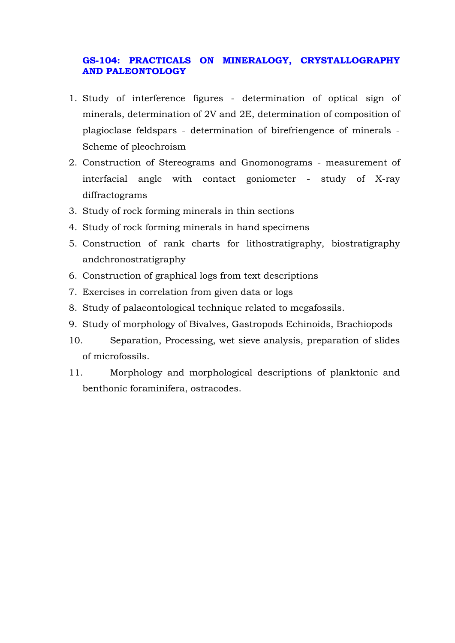### **GS-104: PRACTICALS ON MINERALOGY, CRYSTALLOGRAPHY AND PALEONTOLOGY**

- 1. Study of interference figures determination of optical sign of minerals, determination of 2V and 2E, determination of composition of plagioclase feldspars - determination of birefriengence of minerals - Scheme of pleochroism
- 2. Construction of Stereograms and Gnomonograms measurement of interfacial angle with contact goniometer - study of X-ray diffractograms
- 3. Study of rock forming minerals in thin sections
- 4. Study of rock forming minerals in hand specimens
- 5. Construction of rank charts for lithostratigraphy, biostratigraphy andchronostratigraphy
- 6. Construction of graphical logs from text descriptions
- 7. Exercises in correlation from given data or logs
- 8. Study of palaeontological technique related to megafossils.
- 9. Study of morphology of Bivalves, Gastropods Echinoids, Brachiopods
- 10. Separation, Processing, wet sieve analysis, preparation of slides of microfossils.
- 11. Morphology and morphological descriptions of planktonic and benthonic foraminifera, ostracodes.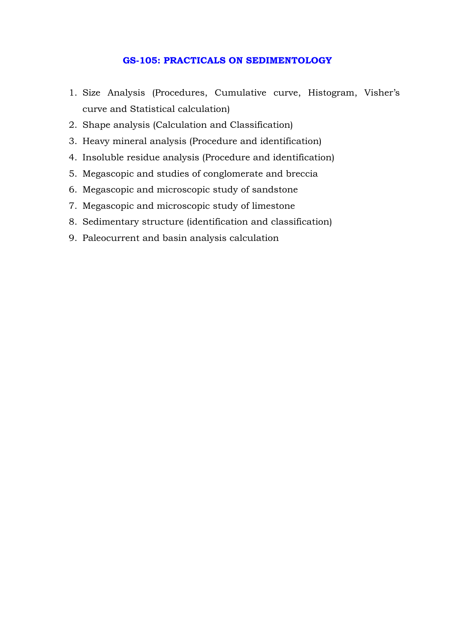#### **GS-105: PRACTICALS ON SEDIMENTOLOGY**

- 1. Size Analysis (Procedures, Cumulative curve, Histogram, Visher's curve and Statistical calculation)
- 2. Shape analysis (Calculation and Classification)
- 3. Heavy mineral analysis (Procedure and identification)
- 4. Insoluble residue analysis (Procedure and identification)
- 5. Megascopic and studies of conglomerate and breccia
- 6. Megascopic and microscopic study of sandstone
- 7. Megascopic and microscopic study of limestone
- 8. Sedimentary structure (identification and classification)
- 9. Paleocurrent and basin analysis calculation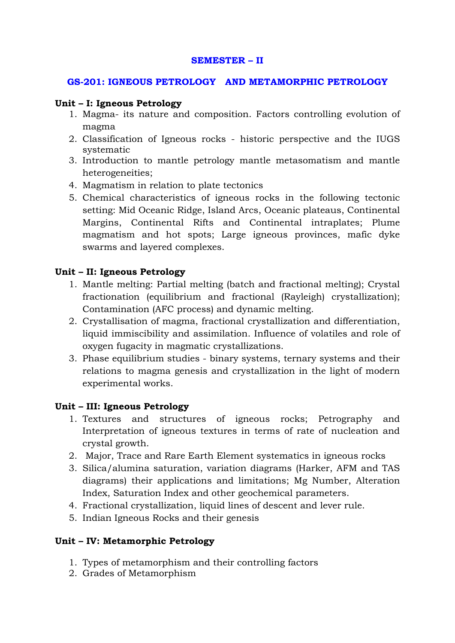#### **SEMESTER – II**

#### **GS-201: IGNEOUS PETROLOGY AND METAMORPHIC PETROLOGY**

#### **Unit – I: Igneous Petrology**

- 1. Magma- its nature and composition. Factors controlling evolution of magma
- 2. Classification of Igneous rocks historic perspective and the IUGS systematic
- 3. Introduction to mantle petrology mantle metasomatism and mantle heterogeneities;
- 4. Magmatism in relation to plate tectonics
- 5. Chemical characteristics of igneous rocks in the following tectonic setting: Mid Oceanic Ridge, Island Arcs, Oceanic plateaus, Continental Margins, Continental Rifts and Continental intraplates; Plume magmatism and hot spots; Large igneous provinces, mafic dyke swarms and layered complexes.

### **Unit – II: Igneous Petrology**

- 1. Mantle melting: Partial melting (batch and fractional melting); Crystal fractionation (equilibrium and fractional (Rayleigh) crystallization); Contamination (AFC process) and dynamic melting.
- 2. Crystallisation of magma, fractional crystallization and differentiation, liquid immiscibility and assimilation. Influence of volatiles and role of oxygen fugacity in magmatic crystallizations.
- 3. Phase equilibrium studies binary systems, ternary systems and their relations to magma genesis and crystallization in the light of modern experimental works.

### **Unit – III: Igneous Petrology**

- 1. Textures and structures of igneous rocks; Petrography and Interpretation of igneous textures in terms of rate of nucleation and crystal growth.
- 2. Major, Trace and Rare Earth Element systematics in igneous rocks
- 3. Silica/alumina saturation, variation diagrams (Harker, AFM and TAS diagrams) their applications and limitations; Mg Number, Alteration Index, Saturation Index and other geochemical parameters.
- 4. Fractional crystallization, liquid lines of descent and lever rule.
- 5. Indian Igneous Rocks and their genesis

### **Unit – IV: Metamorphic Petrology**

- 1. Types of metamorphism and their controlling factors
- 2. Grades of Metamorphism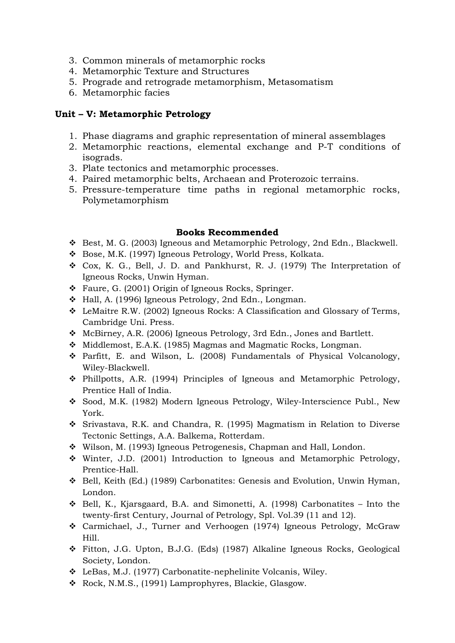- 3. Common minerals of metamorphic rocks
- 4. Metamorphic Texture and Structures
- 5. Prograde and retrograde metamorphism, Metasomatism
- 6. Metamorphic facies

### **Unit – V: Metamorphic Petrology**

- 1. Phase diagrams and graphic representation of mineral assemblages
- 2. Metamorphic reactions, elemental exchange and P-T conditions of isograds.
- 3. Plate tectonics and metamorphic processes.
- 4. Paired metamorphic belts, Archaean and Proterozoic terrains.
- 5. Pressure-temperature time paths in regional metamorphic rocks, Polymetamorphism

### **Books Recommended**

- Best, M. G. (2003) Igneous and Metamorphic Petrology, 2nd Edn., Blackwell.
- Bose, M.K. (1997) Igneous Petrology, World Press, Kolkata.
- Cox, K. G., Bell, J. D. and Pankhurst, R. J. (1979) The Interpretation of Igneous Rocks, Unwin Hyman.
- Faure, G. (2001) Origin of Igneous Rocks, Springer.
- Hall, A. (1996) Igneous Petrology, 2nd Edn., Longman.
- LeMaitre R.W. (2002) Igneous Rocks: A Classification and Glossary of Terms, Cambridge Uni. Press.
- McBirney, A.R. (2006) Igneous Petrology, 3rd Edn., Jones and Bartlett.
- Middlemost, E.A.K. (1985) Magmas and Magmatic Rocks, Longman.
- Parfitt, E. and Wilson, L. (2008) Fundamentals of Physical Volcanology, Wiley-Blackwell.
- $\div$  Phillpotts, A.R. (1994) Principles of Igneous and Metamorphic Petrology, Prentice Hall of India.
- Sood, M.K. (1982) Modern Igneous Petrology, Wiley-Interscience Publ., New York.
- Srivastava, R.K. and Chandra, R. (1995) Magmatism in Relation to Diverse Tectonic Settings, A.A. Balkema, Rotterdam.
- Wilson, M. (1993) Igneous Petrogenesis, Chapman and Hall, London.
- Winter, J.D. (2001) Introduction to Igneous and Metamorphic Petrology, Prentice-Hall.
- Bell, Keith (Ed.) (1989) Carbonatites: Genesis and Evolution, Unwin Hyman, London.
- $\div$  Bell, K., Kjarsgaard, B.A. and Simonetti, A. (1998) Carbonatites Into the twenty-first Century, Journal of Petrology, Spl. Vol.39 (11 and 12).
- Carmichael, J., Turner and Verhoogen (1974) Igneous Petrology, McGraw Hill.
- Fitton, J.G. Upton, B.J.G. (Eds) (1987) Alkaline Igneous Rocks, Geological Society, London.
- LeBas, M.J. (1977) Carbonatite-nephelinite Volcanis, Wiley.
- \* Rock, N.M.S., (1991) Lamprophyres, Blackie, Glasgow.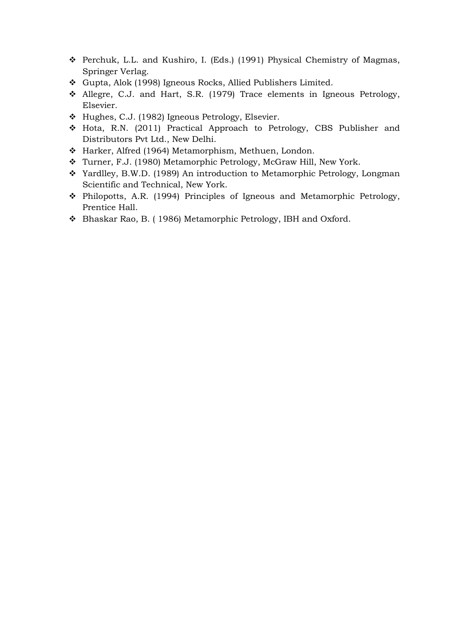- Perchuk, L.L. and Kushiro, I. (Eds.) (1991) Physical Chemistry of Magmas, Springer Verlag.
- Gupta, Alok (1998) Igneous Rocks, Allied Publishers Limited.
- Allegre, C.J. and Hart, S.R. (1979) Trace elements in Igneous Petrology, Elsevier.
- Hughes, C.J. (1982) Igneous Petrology, Elsevier.
- Hota, R.N. (2011) Practical Approach to Petrology, CBS Publisher and Distributors Pvt Ltd., New Delhi.
- Harker, Alfred (1964) Metamorphism, Methuen, London.
- Turner, F.J. (1980) Metamorphic Petrology, McGraw Hill, New York.
- Yardlley, B.W.D. (1989) An introduction to Metamorphic Petrology, Longman Scientific and Technical, New York.
- Philopotts, A.R. (1994) Principles of Igneous and Metamorphic Petrology, Prentice Hall.
- Bhaskar Rao, B. ( 1986) Metamorphic Petrology, IBH and Oxford.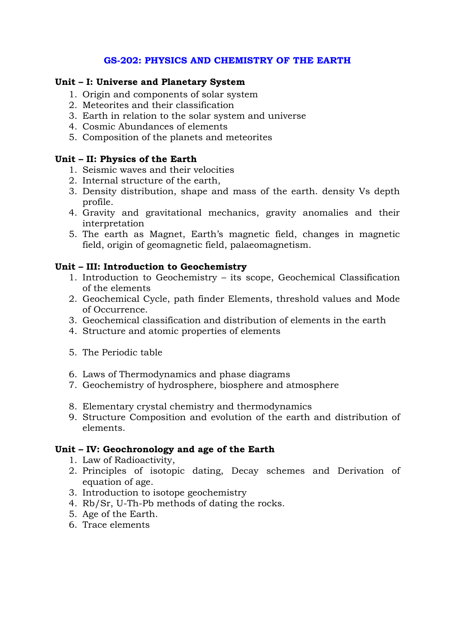### **GS-202: PHYSICS AND CHEMISTRY OF THE EARTH**

### **Unit – I: Universe and Planetary System**

- 1. Origin and components of solar system
- 2. Meteorites and their classification
- 3. Earth in relation to the solar system and universe
- 4. Cosmic Abundances of elements
- 5. Composition of the planets and meteorites

### **Unit – II: Physics of the Earth**

- 1. Seismic waves and their velocities
- 2. Internal structure of the earth,
- 3. Density distribution, shape and mass of the earth. density Vs depth profile.
- 4. Gravity and gravitational mechanics, gravity anomalies and their interpretation
- 5. The earth as Magnet, Earth's magnetic field, changes in magnetic field, origin of geomagnetic field, palaeomagnetism.

### **Unit – III: Introduction to Geochemistry**

- 1. Introduction to Geochemistry its scope, Geochemical Classification of the elements
- 2. Geochemical Cycle, path finder Elements, threshold values and Mode of Occurrence.
- 3. Geochemical classification and distribution of elements in the earth
- 4. Structure and atomic properties of elements
- 5. The Periodic table
- 6. Laws of Thermodynamics and phase diagrams
- 7. Geochemistry of hydrosphere, biosphere and atmosphere
- 8. Elementary crystal chemistry and thermodynamics
- 9. Structure Composition and evolution of the earth and distribution of elements.

### **Unit – IV: Geochronology and age of the Earth**

- 1. Law of Radioactivity,
- 2. Principles of isotopic dating, Decay schemes and Derivation of equation of age.
- 3. Introduction to isotope geochemistry
- 4. Rb/Sr, U-Th-Pb methods of dating the rocks.
- 5. Age of the Earth.
- 6. Trace elements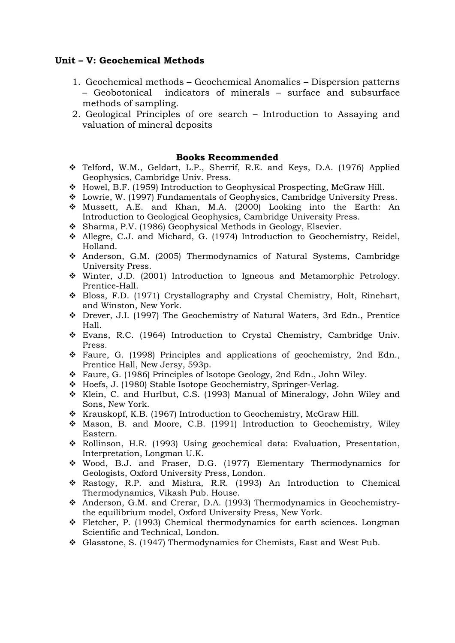### **Unit – V: Geochemical Methods**

- 1. Geochemical methods Geochemical Anomalies Dispersion patterns – Geobotonical indicators of minerals – surface and subsurface methods of sampling.
- 2. Geological Principles of ore search Introduction to Assaying and valuation of mineral deposits

#### **Books Recommended**

- Telford, W.M., Geldart, L.P., Sherrif, R.E. and Keys, D.A. (1976) Applied Geophysics, Cambridge Univ. Press.
- Howel, B.F. (1959) Introduction to Geophysical Prospecting, McGraw Hill.
- Lowrie, W. (1997) Fundamentals of Geophysics, Cambridge University Press.
- Mussett, A.E. and Khan, M.A. (2000) Looking into the Earth: An Introduction to Geological Geophysics, Cambridge University Press.
- Sharma, P.V. (1986) Geophysical Methods in Geology, Elsevier.
- Allegre, C.J. and Michard, G. (1974) Introduction to Geochemistry, Reidel, Holland.
- Anderson, G.M. (2005) Thermodynamics of Natural Systems, Cambridge University Press.
- Winter, J.D. (2001) Introduction to Igneous and Metamorphic Petrology. Prentice-Hall.
- Bloss, F.D. (1971) Crystallography and Crystal Chemistry, Holt, Rinehart, and Winston, New York.
- Drever, J.I. (1997) The Geochemistry of Natural Waters, 3rd Edn., Prentice Hall.
- Evans, R.C. (1964) Introduction to Crystal Chemistry, Cambridge Univ. Press.
- Faure, G. (1998) Principles and applications of geochemistry, 2nd Edn., Prentice Hall, New Jersy, 593p.
- Faure, G. (1986) Principles of Isotope Geology, 2nd Edn., John Wiley.
- Hoefs, J. (1980) Stable Isotope Geochemistry, Springer-Verlag.
- Klein, C. and Hurlbut, C.S. (1993) Manual of Mineralogy, John Wiley and Sons, New York.
- \* Krauskopf, K.B. (1967) Introduction to Geochemistry, McGraw Hill.
- Mason, B. and Moore, C.B. (1991) Introduction to Geochemistry, Wiley Eastern.
- Rollinson, H.R. (1993) Using geochemical data: Evaluation, Presentation, Interpretation, Longman U.K.
- Wood, B.J. and Fraser, D.G. (1977) Elementary Thermodynamics for Geologists, Oxford University Press, London.
- Rastogy, R.P. and Mishra, R.R. (1993) An Introduction to Chemical Thermodynamics, Vikash Pub. House.
- Anderson, G.M. and Crerar, D.A. (1993) Thermodynamics in Geochemistrythe equilibrium model, Oxford University Press, New York.
- Fletcher, P. (1993) Chemical thermodynamics for earth sciences. Longman Scientific and Technical, London.
- Glasstone, S. (1947) Thermodynamics for Chemists, East and West Pub.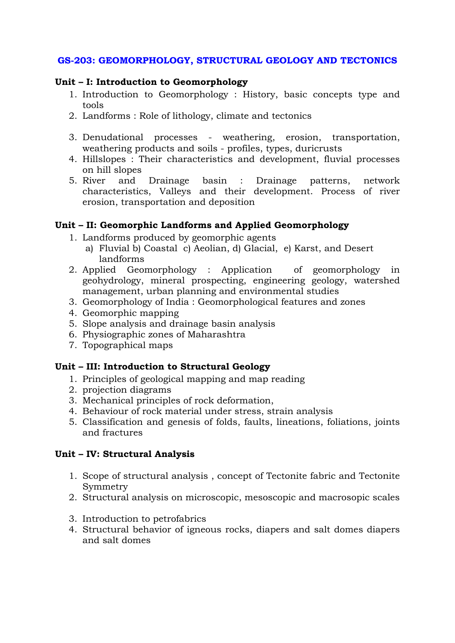### **GS-203: GEOMORPHOLOGY, STRUCTURAL GEOLOGY AND TECTONICS**

### **Unit – I: Introduction to Geomorphology**

- 1. Introduction to Geomorphology : History, basic concepts type and tools
- 2. Landforms : Role of lithology, climate and tectonics
- 3. Denudational processes weathering, erosion, transportation, weathering products and soils - profiles, types, duricrusts
- 4. Hillslopes : Their characteristics and development, fluvial processes on hill slopes
- 5. River and Drainage basin : Drainage patterns, network characteristics, Valleys and their development. Process of river erosion, transportation and deposition

### **Unit – II: Geomorphic Landforms and Applied Geomorphology**

- 1. Landforms produced by geomorphic agents
	- a) Fluvial b) Coastal c) Aeolian, d) Glacial, e) Karst, and Desert landforms
- 2. Applied Geomorphology : Application of geomorphology in geohydrology, mineral prospecting, engineering geology, watershed management, urban planning and environmental studies
- 3. Geomorphology of India : Geomorphological features and zones
- 4. Geomorphic mapping
- 5. Slope analysis and drainage basin analysis
- 6. Physiographic zones of Maharashtra
- 7. Topographical maps

### **Unit – III: Introduction to Structural Geology**

- 1. Principles of geological mapping and map reading
- 2. projection diagrams
- 3. Mechanical principles of rock deformation,
- 4. Behaviour of rock material under stress, strain analysis
- 5. Classification and genesis of folds, faults, lineations, foliations, joints and fractures

### **Unit – IV: Structural Analysis**

- 1. Scope of structural analysis , concept of Tectonite fabric and Tectonite Symmetry
- 2. Structural analysis on microscopic, mesoscopic and macrosopic scales
- 3. Introduction to petrofabrics
- 4. Structural behavior of igneous rocks, diapers and salt domes diapers and salt domes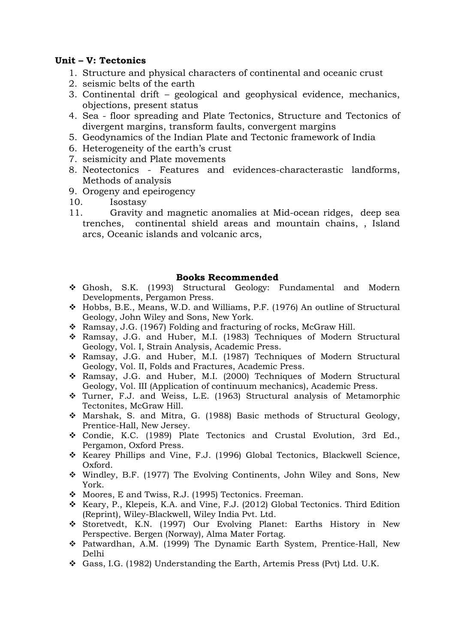### **Unit – V: Tectonics**

- 1. Structure and physical characters of continental and oceanic crust
- 2. seismic belts of the earth
- 3. Continental drift geological and geophysical evidence, mechanics, objections, present status
- 4. Sea floor spreading and Plate Tectonics, Structure and Tectonics of divergent margins, transform faults, convergent margins
- 5. Geodynamics of the Indian Plate and Tectonic framework of India
- 6. Heterogeneity of the earth's crust
- 7. seismicity and Plate movements
- 8. Neotectonics Features and evidences-characterastic landforms, Methods of analysis
- 9. Orogeny and epeirogency
- 10. Isostasy
- 11. Gravity and magnetic anomalies at Mid-ocean ridges, deep sea trenches, continental shield areas and mountain chains, , Island arcs, Oceanic islands and volcanic arcs,

### **Books Recommended**

- Ghosh, S.K. (1993) Structural Geology: Fundamental and Modern Developments, Pergamon Press.
- Hobbs, B.E., Means, W.D. and Williams, P.F. (1976) An outline of Structural Geology, John Wiley and Sons, New York.
- Ramsay, J.G. (1967) Folding and fracturing of rocks, McGraw Hill.
- Ramsay, J.G. and Huber, M.I. (1983) Techniques of Modern Structural Geology, Vol. I, Strain Analysis, Academic Press.
- Ramsay, J.G. and Huber, M.I. (1987) Techniques of Modern Structural Geology, Vol. II, Folds and Fractures, Academic Press.
- Ramsay, J.G. and Huber, M.I. (2000) Techniques of Modern Structural Geology, Vol. III (Application of continuum mechanics), Academic Press.
- Turner, F.J. and Weiss, L.E. (1963) Structural analysis of Metamorphic Tectonites, McGraw Hill.
- Marshak, S. and Mitra, G. (1988) Basic methods of Structural Geology, Prentice-Hall, New Jersey.
- Condie, K.C. (1989) Plate Tectonics and Crustal Evolution, 3rd Ed., Pergamon, Oxford Press.
- \* Kearey Phillips and Vine, F.J. (1996) Global Tectonics, Blackwell Science, Oxford.
- Windley, B.F. (1977) The Evolving Continents, John Wiley and Sons, New York.
- $\div$  Moores, E and Twiss, R.J. (1995) Tectonics. Freeman.
- \* Keary, P., Klepeis, K.A. and Vine, F.J. (2012) Global Tectonics. Third Edition (Reprint), Wiley-Blackwell, Wiley India Pvt. Ltd.
- Storetvedt, K.N. (1997) Our Evolving Planet: Earths History in New Perspective. Bergen (Norway), Alma Mater Fortag.
- Patwardhan, A.M. (1999) The Dynamic Earth System, Prentice-Hall, New Delhi
- Gass, I.G. (1982) Understanding the Earth, Artemis Press (Pvt) Ltd. U.K.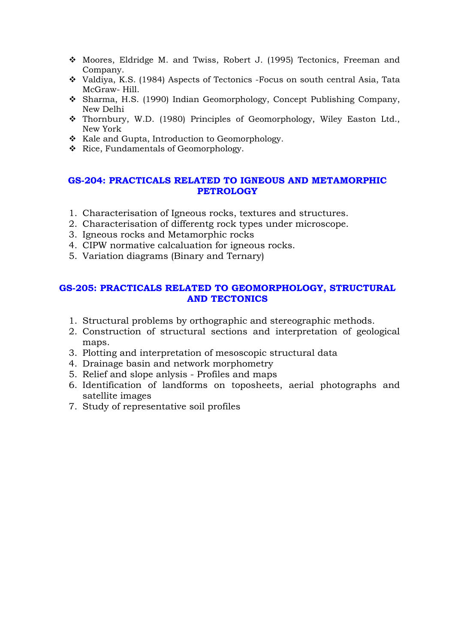- Moores, Eldridge M. and Twiss, Robert J. (1995) Tectonics, Freeman and Company.
- Valdiya, K.S. (1984) Aspects of Tectonics -Focus on south central Asia, Tata McGraw- Hill.
- Sharma, H.S. (1990) Indian Geomorphology, Concept Publishing Company, New Delhi
- Thornbury, W.D. (1980) Principles of Geomorphology, Wiley Easton Ltd., New York
- \* Kale and Gupta, Introduction to Geomorphology.
- \* Rice, Fundamentals of Geomorphology.

### **GS-204: PRACTICALS RELATED TO IGNEOUS AND METAMORPHIC PETROLOGY**

- 1. Characterisation of Igneous rocks, textures and structures.
- 2. Characterisation of differentg rock types under microscope.
- 3. Igneous rocks and Metamorphic rocks
- 4. CIPW normative calcaluation for igneous rocks.
- 5. Variation diagrams (Binary and Ternary)

### **GS-205: PRACTICALS RELATED TO GEOMORPHOLOGY, STRUCTURAL AND TECTONICS**

- 1. Structural problems by orthographic and stereographic methods.
- 2. Construction of structural sections and interpretation of geological maps.
- 3. Plotting and interpretation of mesoscopic structural data
- 4. Drainage basin and network morphometry
- 5. Relief and slope anlysis Profiles and maps
- 6. Identification of landforms on toposheets, aerial photographs and satellite images
- 7. Study of representative soil profiles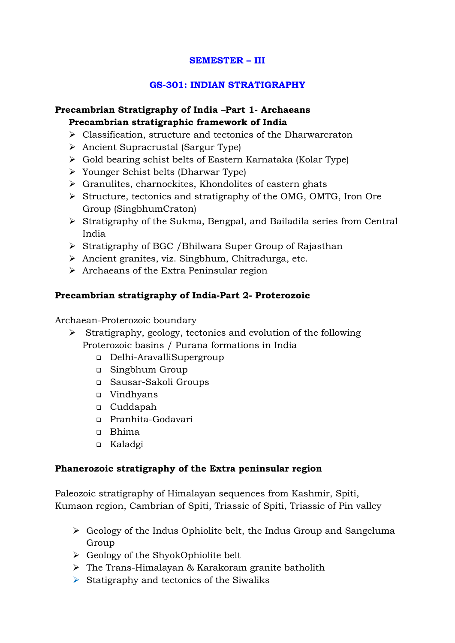### **SEMESTER – III**

### **GS-301: INDIAN STRATIGRAPHY**

# **Precambrian Stratigraphy of India –Part 1- Archaeans Precambrian stratigraphic framework of India**

- > Classification, structure and tectonics of the Dharwarcraton
- > Ancient Supracrustal (Sargur Type)
- Gold bearing schist belts of Eastern Karnataka (Kolar Type)
- Younger Schist belts (Dharwar Type)
- Granulites, charnockites, Khondolites of eastern ghats
- Structure, tectonics and stratigraphy of the OMG, OMTG, Iron Ore Group (SingbhumCraton)
- Stratigraphy of the Sukma, Bengpal, and Bailadila series from Central India
- > Stratigraphy of BGC / Bhilwara Super Group of Rajasthan
- > Ancient granites, viz. Singbhum, Chitradurga, etc.
- > Archaeans of the Extra Peninsular region

# **Precambrian stratigraphy of India-Part 2- Proterozoic**

Archaean-Proterozoic boundary

- Stratigraphy, geology, tectonics and evolution of the following Proterozoic basins / Purana formations in India
	- Delhi-AravalliSupergroup
	- Singbhum Group
	- Sausar-Sakoli Groups
	- □ Vindhyans
	- Cuddapah
	- Pranhita-Godavari
	- Bhima
	- Kaladgi

### **Phanerozoic stratigraphy of the Extra peninsular region**

Paleozoic stratigraphy of Himalayan sequences from Kashmir, Spiti, Kumaon region, Cambrian of Spiti, Triassic of Spiti, Triassic of Pin valley

- > Geology of the Indus Ophiolite belt, the Indus Group and Sangeluma Group
- > Geology of the ShyokOphiolite belt
- > The Trans-Himalayan & Karakoram granite batholith
- Statigraphy and tectonics of the Siwaliks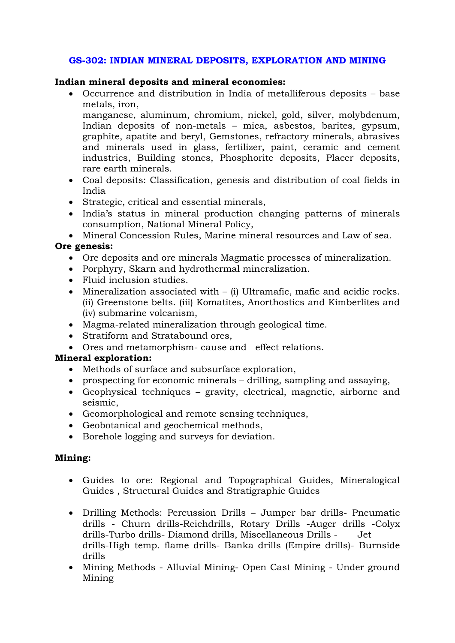### **GS-302: INDIAN MINERAL DEPOSITS, EXPLORATION AND MINING**

### **Indian mineral deposits and mineral economies:**

• Occurrence and distribution in India of metalliferous deposits – base metals, iron,

manganese, aluminum, chromium, nickel, gold, silver, molybdenum, Indian deposits of non-metals – mica, asbestos, barites, gypsum, graphite, apatite and beryl, Gemstones, refractory minerals, abrasives and minerals used in glass, fertilizer, paint, ceramic and cement industries, Building stones, Phosphorite deposits, Placer deposits, rare earth minerals.

- Coal deposits: Classification, genesis and distribution of coal fields in India
- Strategic, critical and essential minerals,
- India's status in mineral production changing patterns of minerals consumption, National Mineral Policy,
- Mineral Concession Rules, Marine mineral resources and Law of sea.

# **Ore genesis:**

- Ore deposits and ore minerals Magmatic processes of mineralization.
- Porphyry, Skarn and hydrothermal mineralization.
- Fluid inclusion studies.
- Mineralization associated with (i) Ultramafic, mafic and acidic rocks. (ii) Greenstone belts. (iii) Komatites, Anorthostics and Kimberlites and (iv) submarine volcanism,
- Magma-related mineralization through geological time.
- Stratiform and Stratabound ores,
- Ores and metamorphism- cause and effect relations.

### **Mineral exploration:**

- Methods of surface and subsurface exploration,
- prospecting for economic minerals drilling, sampling and assaying,
- Geophysical techniques gravity, electrical, magnetic, airborne and seismic,
- Geomorphological and remote sensing techniques,
- Geobotanical and geochemical methods,
- Borehole logging and surveys for deviation.

### **Mining:**

- Guides to ore: Regional and Topographical Guides, Mineralogical Guides , Structural Guides and Stratigraphic Guides
- Drilling Methods: Percussion Drills Jumper bar drills- Pneumatic drills - Churn drills-Reichdrills, Rotary Drills -Auger drills -Colyx drills-Turbo drills- Diamond drills, Miscellaneous Drills - Jet drills-High temp. flame drills- Banka drills (Empire drills)- Burnside drills
- Mining Methods Alluvial Mining- Open Cast Mining Under ground Mining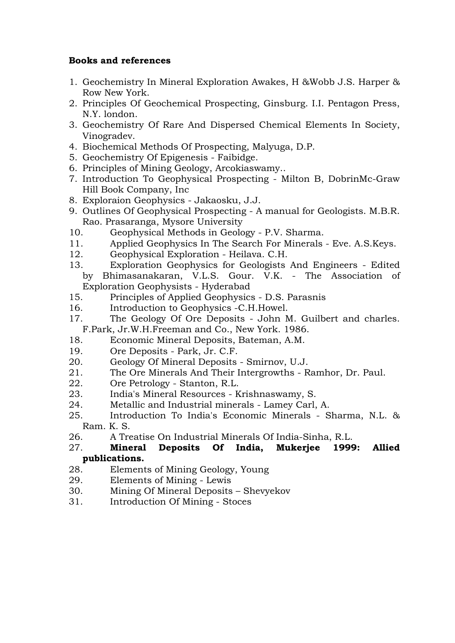### **Books and references**

- 1. Geochemistry In Mineral Exploration Awakes, H &Wobb J.S. Harper & Row New York.
- 2. Principles Of Geochemical Prospecting, Ginsburg. I.I. Pentagon Press, N.Y. london.
- 3. Geochemistry Of Rare And Dispersed Chemical Elements In Society, Vinogradev.
- 4. Biochemical Methods Of Prospecting, Malyuga, D.P.
- 5. Geochemistry Of Epigenesis Faibidge.
- 6. Principles of Mining Geology, Arcokiaswamy..
- 7. Introduction To Geophysical Prospecting Milton B, DobrinMc-Graw Hill Book Company, Inc
- 8. Exploraion Geophysics Jakaosku, J.J.
- 9. Outlines Of Geophysical Prospecting A manual for Geologists. M.B.R. Rao. Prasaranga, Mysore University
- 10. Geophysical Methods in Geology P.V. Sharma.
- 11. Applied Geophysics In The Search For Minerals Eve. A.S.Keys.
- 12. Geophysical Exploration Heilava. C.H.
- 13. Exploration Geophysics for Geologists And Engineers Edited by Bhimasanakaran, V.L.S. Gour. V.K. - The Association of Exploration Geophysists - Hyderabad
- 15. Principles of Applied Geophysics D.S. Parasnis
- 16. Introduction to Geophysics -C.H.Howel.
- 17. The Geology Of Ore Deposits John M. Guilbert and charles. F.Park, Jr.W.H.Freeman and Co., New York. 1986.
- 18. Economic Mineral Deposits, Bateman, A.M.
- 19. Ore Deposits Park, Jr. C.F.
- 20. Geology Of Mineral Deposits Smirnov, U.J.
- 21. The Ore Minerals And Their Intergrowths Ramhor, Dr. Paul.
- 22. Ore Petrology Stanton, R.L.
- 23. India's Mineral Resources Krishnaswamy, S.
- 24. Metallic and Industrial minerals Lamey Carl, A.
- 25. Introduction To India's Economic Minerals Sharma, N.L. & Ram. K. S.
- 26. A Treatise On Industrial Minerals Of India-Sinha, R.L.
- 27. **Mineral Deposits Of India, Mukerjee 1999: Allied publications.**
- 28. Elements of Mining Geology, Young
- 29. Elements of Mining Lewis
- 30. Mining Of Mineral Deposits Shevyekov
- 31. Introduction Of Mining Stoces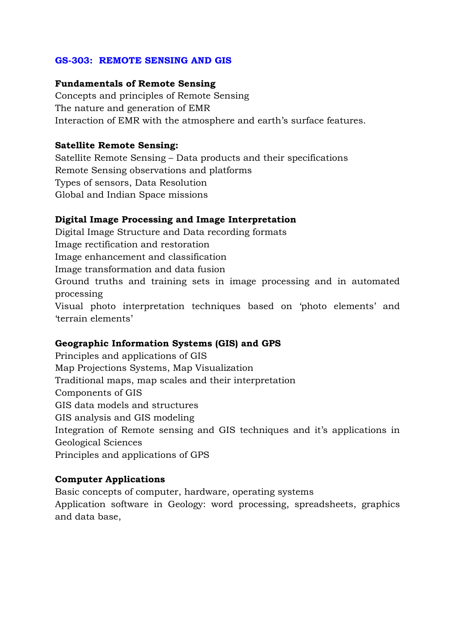### **GS-303: REMOTE SENSING AND GIS**

#### **Fundamentals of Remote Sensing**

Concepts and principles of Remote Sensing The nature and generation of EMR Interaction of EMR with the atmosphere and earth's surface features.

### **Satellite Remote Sensing:**

Satellite Remote Sensing – Data products and their specifications Remote Sensing observations and platforms Types of sensors, Data Resolution Global and Indian Space missions

### **Digital Image Processing and Image Interpretation**

Digital Image Structure and Data recording formats Image rectification and restoration Image enhancement and classification Image transformation and data fusion Ground truths and training sets in image processing and in automated processing Visual photo interpretation techniques based on 'photo elements' and 'terrain elements'

### **Geographic Information Systems (GIS) and GPS**

Principles and applications of GIS Map Projections Systems, Map Visualization Traditional maps, map scales and their interpretation Components of GIS GIS data models and structures GIS analysis and GIS modeling Integration of Remote sensing and GIS techniques and it's applications in Geological Sciences Principles and applications of GPS

### **Computer Applications**

Basic concepts of computer, hardware, operating systems Application software in Geology: word processing, spreadsheets, graphics and data base,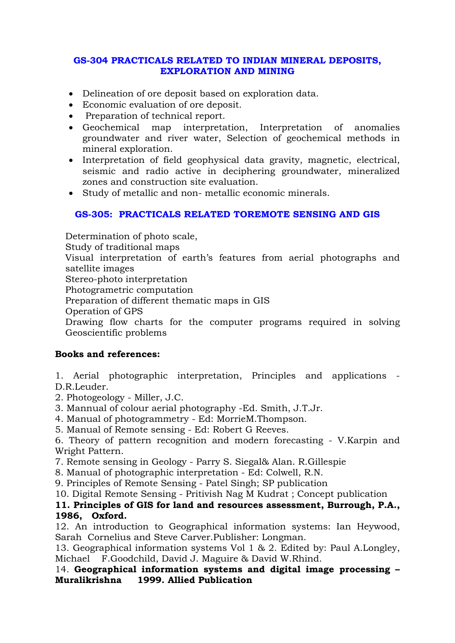### **GS-304 PRACTICALS RELATED TO INDIAN MINERAL DEPOSITS, EXPLORATION AND MINING**

- Delineation of ore deposit based on exploration data.
- Economic evaluation of ore deposit.
- Preparation of technical report.
- Geochemical map interpretation, Interpretation of anomalies groundwater and river water, Selection of geochemical methods in mineral exploration.
- Interpretation of field geophysical data gravity, magnetic, electrical, seismic and radio active in deciphering groundwater, mineralized zones and construction site evaluation.
- Study of metallic and non- metallic economic minerals.

# **GS-305: PRACTICALS RELATED TOREMOTE SENSING AND GIS**

Determination of photo scale, Study of traditional maps Visual interpretation of earth's features from aerial photographs and satellite images Stereo-photo interpretation Photogrametric computation Preparation of different thematic maps in GIS Operation of GPS Drawing flow charts for the computer programs required in solving Geoscientific problems

# **Books and references:**

1. Aerial photographic interpretation, Principles and applications - D.R.Leuder.

- 2. Photogeology Miller, J.C.
- 3. Mannual of colour aerial photography -Ed. Smith, J.T.Jr.
- 4. Manual of photogrammetry Ed: MorrieM.Thompson.
- 5. Manual of Remote sensing Ed: Robert G Reeves.

6. Theory of pattern recognition and modern forecasting - V.Karpin and Wright Pattern.

7. Remote sensing in Geology - Parry S. Siegal& Alan. R.Gillespie

8. Manual of photographic interpretation - Ed: Colwell, R.N.

9. Principles of Remote Sensing - Patel Singh; SP publication

10. Digital Remote Sensing - Pritivish Nag M Kudrat ; Concept publication

### **11. Principles of GIS for land and resources assessment, Burrough, P.A., 1986, Oxford.**

12. An introduction to Geographical information systems: Ian Heywood, Sarah Cornelius and Steve Carver.Publisher: Longman.

13. Geographical information systems Vol 1 & 2. Edited by: Paul A.Longley, Michael F.Goodchild, David J. Maguire & David W.Rhind.

14. **Geographical information systems and digital image processing – Muralikrishna 1999. Allied Publication**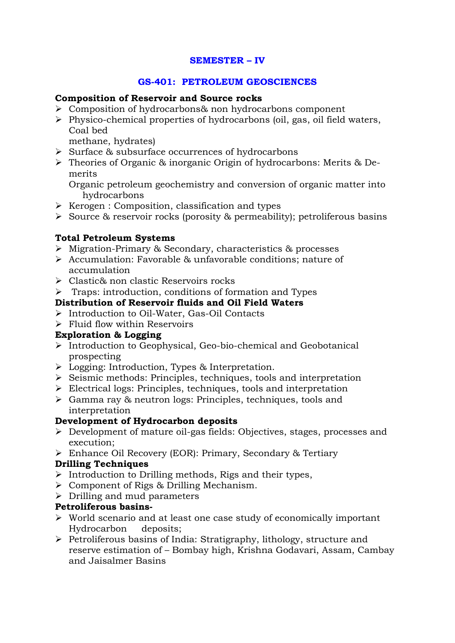### **SEMESTER – IV**

### **GS-401: PETROLEUM GEOSCIENCES**

#### **Composition of Reservoir and Source rocks**

- > Composition of hydrocarbons& non hydrocarbons component
- Physico-chemical properties of hydrocarbons (oil, gas, oil field waters, Coal bed

methane, hydrates)

- > Surface & subsurface occurrences of hydrocarbons
- > Theories of Organic & inorganic Origin of hydrocarbons: Merits & Demerits

Organic petroleum geochemistry and conversion of organic matter into hydrocarbons

- > Kerogen : Composition, classification and types
- Source & reservoir rocks (porosity & permeability); petroliferous basins

### **Total Petroleum Systems**

- Migration-Primary & Secondary, characteristics & processes
- Accumulation: Favorable & unfavorable conditions; nature of accumulation
- Clastic& non clastic Reservoirs rocks
- > Traps: introduction, conditions of formation and Types

### **Distribution of Reservoir fluids and Oil Field Waters**

- Introduction to Oil-Water, Gas-Oil Contacts
- > Fluid flow within Reservoirs

### **Exploration & Logging**

- Introduction to Geophysical, Geo-bio-chemical and Geobotanical prospecting
- Logging: Introduction, Types & Interpretation.
- > Seismic methods: Principles, techniques, tools and interpretation
- > Electrical logs: Principles, techniques, tools and interpretation
- Gamma ray & neutron logs: Principles, techniques, tools and interpretation

### **Development of Hydrocarbon deposits**

- > Development of mature oil-gas fields: Objectives, stages, processes and execution;
- Enhance Oil Recovery (EOR): Primary, Secondary & Tertiary

### **Drilling Techniques**

- > Introduction to Drilling methods, Rigs and their types,
- Component of Rigs & Drilling Mechanism.
- > Drilling and mud parameters

### **Petroliferous basins-**

- World scenario and at least one case study of economically important Hydrocarbon deposits;
- > Petroliferous basins of India: Stratigraphy, lithology, structure and reserve estimation of – Bombay high, Krishna Godavari, Assam, Cambay and Jaisalmer Basins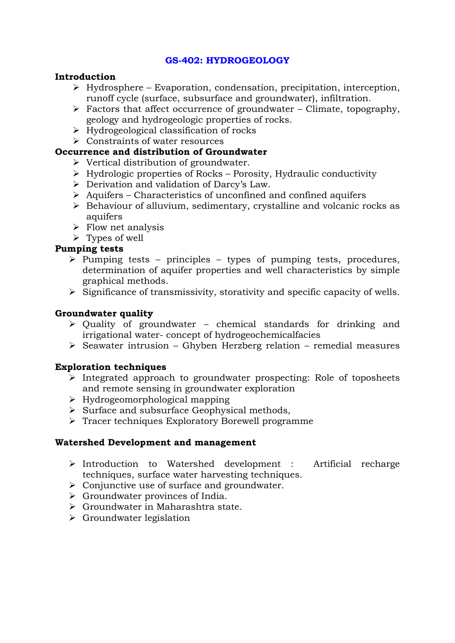### **GS-402: HYDROGEOLOGY**

#### **Introduction**

- > Hydrosphere Evaporation, condensation, precipitation, interception, runoff cycle (surface, subsurface and groundwater), infiltration.
- > Factors that affect occurrence of groundwater Climate, topography, geology and hydrogeologic properties of rocks.
- > Hydrogeological classification of rocks
- Constraints of water resources

### **Occurrence and distribution of Groundwater**

- > Vertical distribution of groundwater.
- > Hydrologic properties of Rocks Porosity, Hydraulic conductivity
- Derivation and validation of Darcy's Law.
- Aquifers Characteristics of unconfined and confined aquifers
- > Behaviour of alluvium, sedimentary, crystalline and volcanic rocks as aquifers
- $\triangleright$  Flow net analysis
- > Types of well

### **Pumping tests**

- $\triangleright$  Pumping tests principles types of pumping tests, procedures, determination of aquifer properties and well characteristics by simple graphical methods.
- > Significance of transmissivity, storativity and specific capacity of wells.

### **Groundwater quality**

- > Quality of groundwater chemical standards for drinking and irrigational water- concept of hydrogeochemicalfacies
- Seawater intrusion Ghyben Herzberg relation remedial measures

### **Exploration techniques**

- Integrated approach to groundwater prospecting: Role of toposheets and remote sensing in groundwater exploration
- Hydrogeomorphological mapping
- > Surface and subsurface Geophysical methods,
- > Tracer techniques Exploratory Borewell programme

### **Watershed Development and management**

- Introduction to Watershed development : Artificial recharge techniques, surface water harvesting techniques.
- > Conjunctive use of surface and groundwater.
- > Groundwater provinces of India.
- Groundwater in Maharashtra state.
- > Groundwater legislation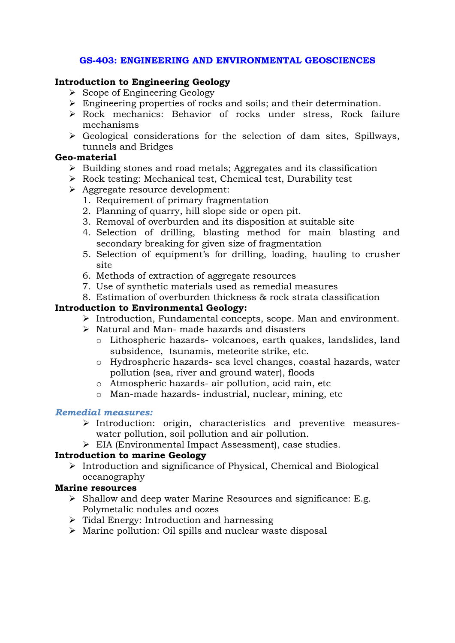### **GS-403: ENGINEERING AND ENVIRONMENTAL GEOSCIENCES**

### **Introduction to Engineering Geology**

- > Scope of Engineering Geology
- Engineering properties of rocks and soils; and their determination.
- Rock mechanics: Behavior of rocks under stress, Rock failure mechanisms
- Geological considerations for the selection of dam sites, Spillways, tunnels and Bridges

### **Geo-material**

- > Building stones and road metals; Aggregates and its classification
- > Rock testing: Mechanical test, Chemical test, Durability test
- Aggregate resource development:
	- 1. Requirement of primary fragmentation
	- 2. Planning of quarry, hill slope side or open pit.
	- 3. Removal of overburden and its disposition at suitable site
	- 4. Selection of drilling, blasting method for main blasting and secondary breaking for given size of fragmentation
	- 5. Selection of equipment's for drilling, loading, hauling to crusher site
	- 6. Methods of extraction of aggregate resources
	- 7. Use of synthetic materials used as remedial measures
	- 8. Estimation of overburden thickness & rock strata classification

### **Introduction to Environmental Geology:**

- > Introduction, Fundamental concepts, scope. Man and environment.
- Natural and Man- made hazards and disasters
	- o Lithospheric hazards- volcanoes, earth quakes, landslides, land subsidence, tsunamis, meteorite strike, etc.
	- o Hydrospheric hazards- sea level changes, coastal hazards, water pollution (sea, river and ground water), floods
	- o Atmospheric hazards- air pollution, acid rain, etc
	- o Man-made hazards- industrial, nuclear, mining, etc

### *Remedial measures:*

- Introduction: origin, characteristics and preventive measureswater pollution, soil pollution and air pollution.
- EIA (Environmental Impact Assessment), case studies.

### **Introduction to marine Geology**

> Introduction and significance of Physical, Chemical and Biological oceanography

### **Marine resources**

- Shallow and deep water Marine Resources and significance: E.g. Polymetalic nodules and oozes
- > Tidal Energy: Introduction and harnessing
- Marine pollution: Oil spills and nuclear waste disposal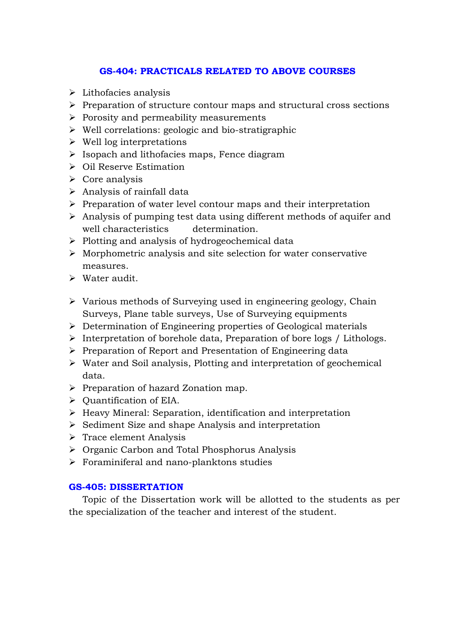### **GS-404: PRACTICALS RELATED TO ABOVE COURSES**

- $\blacktriangleright$  Lithofacies analysis
- > Preparation of structure contour maps and structural cross sections
- Porosity and permeability measurements
- > Well correlations: geologic and bio-stratigraphic
- Well log interpretations
- Isopach and lithofacies maps, Fence diagram
- > Oil Reserve Estimation
- > Core analysis
- > Analysis of rainfall data
- > Preparation of water level contour maps and their interpretation
- > Analysis of pumping test data using different methods of aquifer and well characteristics determination.
- > Plotting and analysis of hydrogeochemical data
- Morphometric analysis and site selection for water conservative measures.
- > Water audit.
- > Various methods of Surveying used in engineering geology, Chain Surveys, Plane table surveys, Use of Surveying equipments
- > Determination of Engineering properties of Geological materials
- > Interpretation of borehole data, Preparation of bore logs / Lithologs.
- > Preparation of Report and Presentation of Engineering data
- Water and Soil analysis, Plotting and interpretation of geochemical data.
- > Preparation of hazard Zonation map.
- $\triangleright$  Quantification of EIA.
- > Heavy Mineral: Separation, identification and interpretation
- > Sediment Size and shape Analysis and interpretation
- > Trace element Analysis
- > Organic Carbon and Total Phosphorus Analysis
- $\triangleright$  Foraminiferal and nano-planktons studies

### **GS-405: DISSERTATION**

Topic of the Dissertation work will be allotted to the students as per the specialization of the teacher and interest of the student.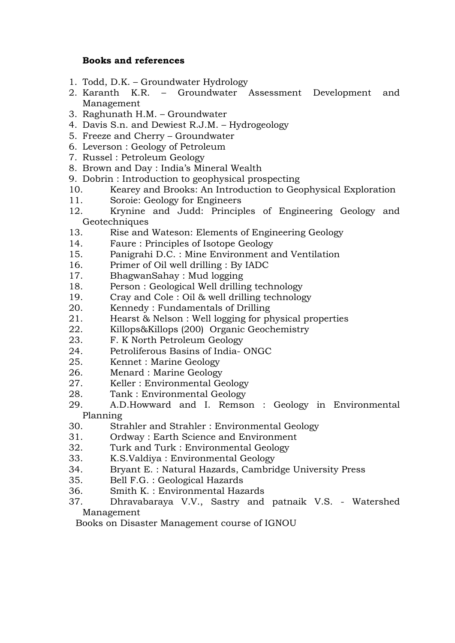### **Books and references**

- 1. Todd, D.K. Groundwater Hydrology
- 2. Karanth K.R. Groundwater Assessment Development and Management
- 3. Raghunath H.M. Groundwater
- 4. Davis S.n. and Dewiest R.J.M. Hydrogeology
- 5. Freeze and Cherry Groundwater
- 6. Leverson : Geology of Petroleum
- 7. Russel : Petroleum Geology
- 8. Brown and Day : India's Mineral Wealth
- 9. Dobrin : Introduction to geophysical prospecting
- 10. Kearey and Brooks: An Introduction to Geophysical Exploration
- 11. Soroie: Geology for Engineers
- 12. Krynine and Judd: Principles of Engineering Geology and Geotechniques
- 13. Rise and Wateson: Elements of Engineering Geology
- 14. Faure : Principles of Isotope Geology
- 15. Panigrahi D.C. : Mine Environment and Ventilation
- 16. Primer of Oil well drilling : By IADC
- 17. BhagwanSahay : Mud logging
- 18. Person : Geological Well drilling technology
- 19. Cray and Cole : Oil & well drilling technology
- 20. Kennedy : Fundamentals of Drilling
- 21. Hearst & Nelson : Well logging for physical properties
- 22. Killops&Killops (200) Organic Geochemistry
- 23. F. K North Petroleum Geology
- 24. Petroliferous Basins of India- ONGC
- 25. Kennet : Marine Geology
- 26. Menard : Marine Geology
- 27. Keller : Environmental Geology
- 28. Tank : Environmental Geology
- 29. A.D.Howward and I. Remson : Geology in Environmental Planning
- 30. Strahler and Strahler : Environmental Geology
- 31. Ordway : Earth Science and Environment
- 32. Turk and Turk : Environmental Geology
- 33. K.S.Valdiya : Environmental Geology
- 34. Bryant E. : Natural Hazards, Cambridge University Press
- 35. Bell F.G. : Geological Hazards
- 36. Smith K. : Environmental Hazards
- 37. Dhravabaraya V.V., Sastry and patnaik V.S. Watershed Management

Books on Disaster Management course of IGNOU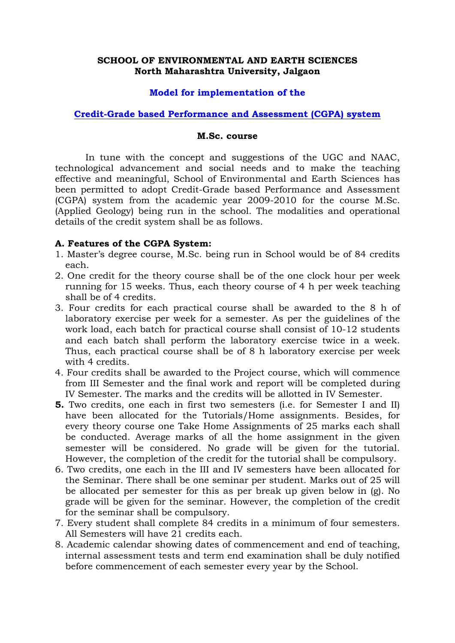### **SCHOOL OF ENVIRONMENTAL AND EARTH SCIENCES North Maharashtra University, Jalgaon**

#### **Model for implementation of the**

#### **Credit-Grade based Performance and Assessment (CGPA) system**

#### **M.Sc. course**

 In tune with the concept and suggestions of the UGC and NAAC, technological advancement and social needs and to make the teaching effective and meaningful, School of Environmental and Earth Sciences has been permitted to adopt Credit-Grade based Performance and Assessment (CGPA) system from the academic year 2009-2010 for the course M.Sc. (Applied Geology) being run in the school. The modalities and operational details of the credit system shall be as follows.

#### **A. Features of the CGPA System:**

- 1. Master's degree course, M.Sc. being run in School would be of 84 credits each.
- 2. One credit for the theory course shall be of the one clock hour per week running for 15 weeks. Thus, each theory course of 4 h per week teaching shall be of 4 credits.
- 3. Four credits for each practical course shall be awarded to the 8 h of laboratory exercise per week for a semester. As per the guidelines of the work load, each batch for practical course shall consist of 10-12 students and each batch shall perform the laboratory exercise twice in a week. Thus, each practical course shall be of 8 h laboratory exercise per week with 4 credits.
- 4. Four credits shall be awarded to the Project course, which will commence from III Semester and the final work and report will be completed during IV Semester. The marks and the credits will be allotted in IV Semester.
- **5.** Two credits, one each in first two semesters (i.e. for Semester I and II) have been allocated for the Tutorials/Home assignments. Besides, for every theory course one Take Home Assignments of 25 marks each shall be conducted. Average marks of all the home assignment in the given semester will be considered. No grade will be given for the tutorial. However, the completion of the credit for the tutorial shall be compulsory.
- 6. Two credits, one each in the III and IV semesters have been allocated for the Seminar. There shall be one seminar per student. Marks out of 25 will be allocated per semester for this as per break up given below in (g). No grade will be given for the seminar. However, the completion of the credit for the seminar shall be compulsory.
- 7. Every student shall complete 84 credits in a minimum of four semesters. All Semesters will have 21 credits each.
- 8. Academic calendar showing dates of commencement and end of teaching, internal assessment tests and term end examination shall be duly notified before commencement of each semester every year by the School.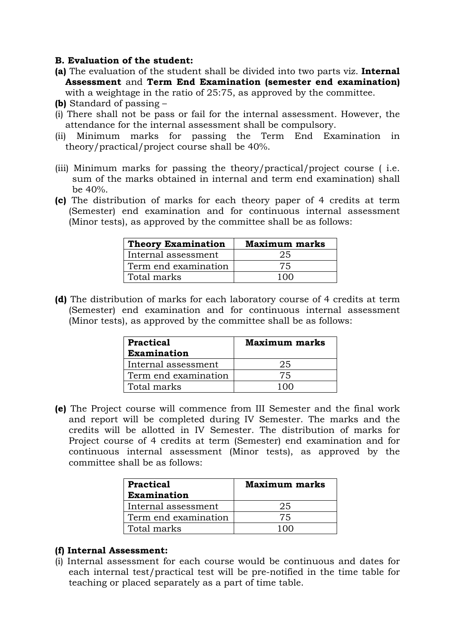### **B. Evaluation of the student:**

- **(a)** The evaluation of the student shall be divided into two parts viz. **Internal Assessment** and **Term End Examination (semester end examination)** 
	- with a weightage in the ratio of 25:75, as approved by the committee.
- **(b)** Standard of passing –
- (i) There shall not be pass or fail for the internal assessment. However, the attendance for the internal assessment shall be compulsory.
- (ii) Minimum marks for passing the Term End Examination in theory/practical/project course shall be 40%.
- (iii) Minimum marks for passing the theory/practical/project course ( i.e. sum of the marks obtained in internal and term end examination) shall be 40%.
- **(c)** The distribution of marks for each theory paper of 4 credits at term (Semester) end examination and for continuous internal assessment (Minor tests), as approved by the committee shall be as follows:

| <b>Theory Examination</b> | <b>Maximum marks</b> |
|---------------------------|----------------------|
| Internal assessment       | 25                   |
| Term end examination      | 75.                  |
| Total marks               |                      |

**(d)** The distribution of marks for each laboratory course of 4 credits at term (Semester) end examination and for continuous internal assessment (Minor tests), as approved by the committee shall be as follows:

| <b>Practical</b>     | <b>Maximum marks</b> |
|----------------------|----------------------|
| <b>Examination</b>   |                      |
| Internal assessment  | 25                   |
| Term end examination | 75                   |
| Total marks          |                      |

**(e)** The Project course will commence from III Semester and the final work and report will be completed during IV Semester. The marks and the credits will be allotted in IV Semester. The distribution of marks for Project course of 4 credits at term (Semester) end examination and for continuous internal assessment (Minor tests), as approved by the committee shall be as follows:

| Practical            | <b>Maximum marks</b> |
|----------------------|----------------------|
| <b>Examination</b>   |                      |
| Internal assessment  | 25                   |
| Term end examination | 75                   |
| Total marks          |                      |

### **(f) Internal Assessment:**

(i) Internal assessment for each course would be continuous and dates for each internal test/practical test will be pre-notified in the time table for teaching or placed separately as a part of time table.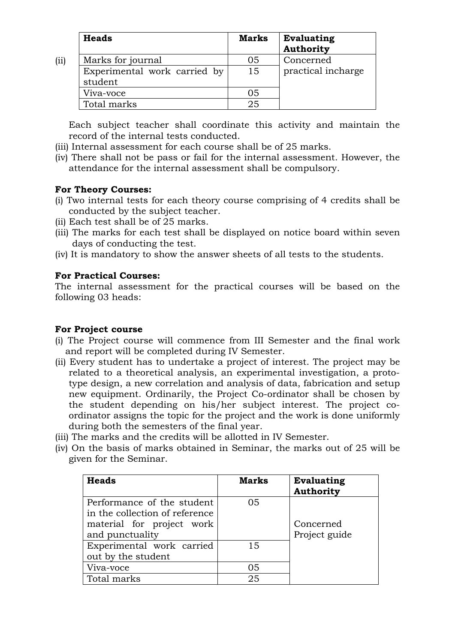| <b>Heads</b>                            | <b>Marks</b> | <b>Evaluating</b><br><b>Authority</b> |
|-----------------------------------------|--------------|---------------------------------------|
| Marks for journal                       | 05           | Concerned                             |
| Experimental work carried by<br>student | 15           | practical incharge                    |
| Viva-voce                               | 05           |                                       |
| Total marks                             | 25           |                                       |

Each subject teacher shall coordinate this activity and maintain the record of the internal tests conducted.

- (iii) Internal assessment for each course shall be of 25 marks.
- (iv) There shall not be pass or fail for the internal assessment. However, the attendance for the internal assessment shall be compulsory.

### **For Theory Courses:**

(ii)

- (i) Two internal tests for each theory course comprising of 4 credits shall be conducted by the subject teacher.
- (ii) Each test shall be of 25 marks.
- (iii) The marks for each test shall be displayed on notice board within seven days of conducting the test.
- (iv) It is mandatory to show the answer sheets of all tests to the students.

### **For Practical Courses:**

The internal assessment for the practical courses will be based on the following 03 heads:

### **For Project course**

- (i) The Project course will commence from III Semester and the final work and report will be completed during IV Semester.
- (ii) Every student has to undertake a project of interest. The project may be related to a theoretical analysis, an experimental investigation, a prototype design, a new correlation and analysis of data, fabrication and setup new equipment. Ordinarily, the Project Co-ordinator shall be chosen by the student depending on his/her subject interest. The project coordinator assigns the topic for the project and the work is done uniformly during both the semesters of the final year.
- (iii) The marks and the credits will be allotted in IV Semester.
- (iv) On the basis of marks obtained in Seminar, the marks out of 25 will be given for the Seminar.

| <b>Heads</b>                                                 | <b>Marks</b> | <b>Evaluating</b><br><b>Authority</b> |
|--------------------------------------------------------------|--------------|---------------------------------------|
| Performance of the student<br>in the collection of reference | 05           |                                       |
| material for project work                                    |              | Concerned                             |
| and punctuality                                              |              | Project guide                         |
| Experimental work carried                                    | 15           |                                       |
| out by the student                                           |              |                                       |
| Viva-voce                                                    | 05           |                                       |
| Total marks                                                  | 25           |                                       |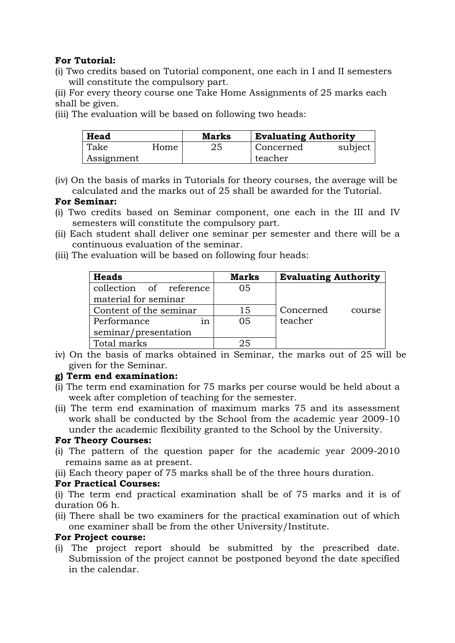### **For Tutorial:**

(i) Two credits based on Tutorial component, one each in I and II semesters will constitute the compulsory part.

(ii) For every theory course one Take Home Assignments of 25 marks each shall be given.

(iii) The evaluation will be based on following two heads:

| Head       |      | <b>Marks</b> | <b>Evaluating Authority</b> |         |
|------------|------|--------------|-----------------------------|---------|
| Take       | Home | 25           | Concerned                   | subject |
| Assignment |      |              | teacher                     |         |

(iv) On the basis of marks in Tutorials for theory courses, the average will be calculated and the marks out of 25 shall be awarded for the Tutorial.

### **For Seminar:**

- (i) Two credits based on Seminar component, one each in the III and IV semesters will constitute the compulsory part.
- (ii) Each student shall deliver one seminar per semester and there will be a continuous evaluation of the seminar.
- (iii) The evaluation will be based on following four heads:

| <b>Heads</b>            | <b>Marks</b>   | <b>Evaluating Authority</b> |
|-------------------------|----------------|-----------------------------|
| collection of reference | 05             |                             |
| material for seminar    |                |                             |
| Content of the seminar  | 15             | Concerned<br>course         |
| Performance<br>1n       | 0 <sub>5</sub> | teacher                     |
| seminar/presentation    |                |                             |
| Total marks             | 25             |                             |

iv) On the basis of marks obtained in Seminar, the marks out of 25 will be given for the Seminar.

### **g) Term end examination:**

- (i) The term end examination for 75 marks per course would be held about a week after completion of teaching for the semester.
- (ii) The term end examination of maximum marks 75 and its assessment work shall be conducted by the School from the academic year 2009-10 under the academic flexibility granted to the School by the University.

### **For Theory Courses:**

- (i) The pattern of the question paper for the academic year 2009-2010 remains same as at present.
- (ii) Each theory paper of 75 marks shall be of the three hours duration.

### **For Practical Courses:**

(i) The term end practical examination shall be of 75 marks and it is of duration 06 h.

(ii) There shall be two examiners for the practical examination out of which one examiner shall be from the other University/Institute.

### **For Project course:**

(i) The project report should be submitted by the prescribed date. Submission of the project cannot be postponed beyond the date specified in the calendar.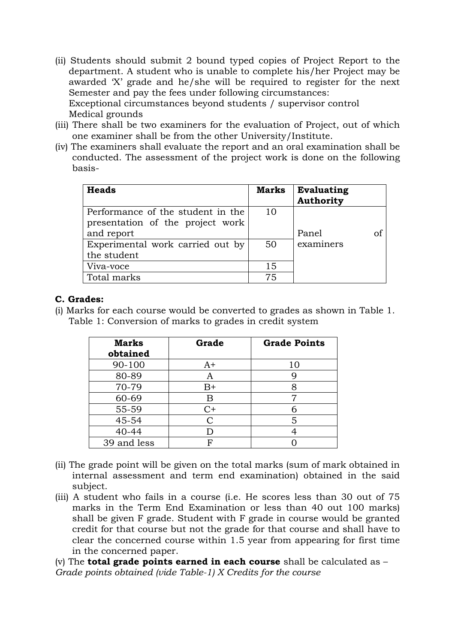- (ii) Students should submit 2 bound typed copies of Project Report to the department. A student who is unable to complete his/her Project may be awarded 'X' grade and he/she will be required to register for the next Semester and pay the fees under following circumstances: Exceptional circumstances beyond students / supervisor control Medical grounds
- (iii) There shall be two examiners for the evaluation of Project, out of which one examiner shall be from the other University/Institute.
- (iv) The examiners shall evaluate the report and an oral examination shall be conducted. The assessment of the project work is done on the following basis-

| <b>Heads</b>                      | <b>Marks</b> | <b>Evaluating</b><br>Authority |  |
|-----------------------------------|--------------|--------------------------------|--|
| Performance of the student in the | 10           |                                |  |
| presentation of the project work  |              |                                |  |
| and report                        |              | Panel<br>of                    |  |
| Experimental work carried out by  | 50           | examiners                      |  |
| the student                       |              |                                |  |
| Viva-voce                         | 15           |                                |  |
| Total marks                       | 75           |                                |  |

### **C. Grades:**

(i) Marks for each course would be converted to grades as shown in Table 1. Table 1: Conversion of marks to grades in credit system

| <b>Marks</b><br>obtained | Grade | <b>Grade Points</b> |
|--------------------------|-------|---------------------|
| 90-100                   | $A+$  | 10                  |
| 80-89                    | A     |                     |
| 70-79                    | $B+$  |                     |
| 60-69                    | Β     |                     |
| 55-59                    | $C+$  |                     |
| 45-54                    | C     | 5                   |
| 40-44                    | D     |                     |
| 39 and less              | F     |                     |

- (ii) The grade point will be given on the total marks (sum of mark obtained in internal assessment and term end examination) obtained in the said subject.
- (iii) A student who fails in a course (i.e. He scores less than 30 out of 75 marks in the Term End Examination or less than 40 out 100 marks) shall be given F grade. Student with F grade in course would be granted credit for that course but not the grade for that course and shall have to clear the concerned course within 1.5 year from appearing for first time in the concerned paper.

(v) The **total grade points earned in each course** shall be calculated as – *Grade points obtained (vide Table-1) X Credits for the course*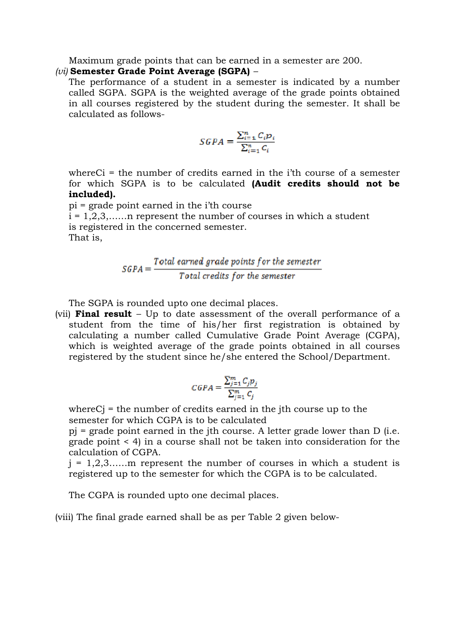Maximum grade points that can be earned in a semester are 200.

#### *(vi)* **Semester Grade Point Average (SGPA)** *–*

The performance of a student in a semester is indicated by a number called SGPA. SGPA is the weighted average of the grade points obtained in all courses registered by the student during the semester. It shall be calculated as follows-

$$
SGPA = \frac{\sum_{i=1}^{n} C_i p_i}{\sum_{i=1}^{n} C_i}
$$

whereCi = the number of credits earned in the i'th course of a semester for which SGPA is to be calculated **(Audit credits should not be included).** 

pi = grade point earned in the i'th course  $i = 1, 2, 3, \ldots$  represent the number of courses in which a student is registered in the concerned semester. That is,

$$
\textit{SGPA} = \frac{\textit{Total earned grade points for the semester}}{\textit{Total credits for the semester}}
$$

The SGPA is rounded upto one decimal places.

(vii) **Final result** – Up to date assessment of the overall performance of a student from the time of his/her first registration is obtained by calculating a number called Cumulative Grade Point Average (CGPA), which is weighted average of the grade points obtained in all courses registered by the student since he/she entered the School/Department.

$$
CGPA = \frac{\sum_{j=1}^{m} C_j p_j}{\sum_{j=1}^{m} C_j}
$$

whereCj = the number of credits earned in the jth course up to the semester for which CGPA is to be calculated

pj = grade point earned in the jth course. A letter grade lower than D (i.e. grade point < 4) in a course shall not be taken into consideration for the calculation of CGPA.

 $j = 1, 2, 3, \ldots$  m represent the number of courses in which a student is registered up to the semester for which the CGPA is to be calculated.

The CGPA is rounded upto one decimal places.

(viii) The final grade earned shall be as per Table 2 given below-